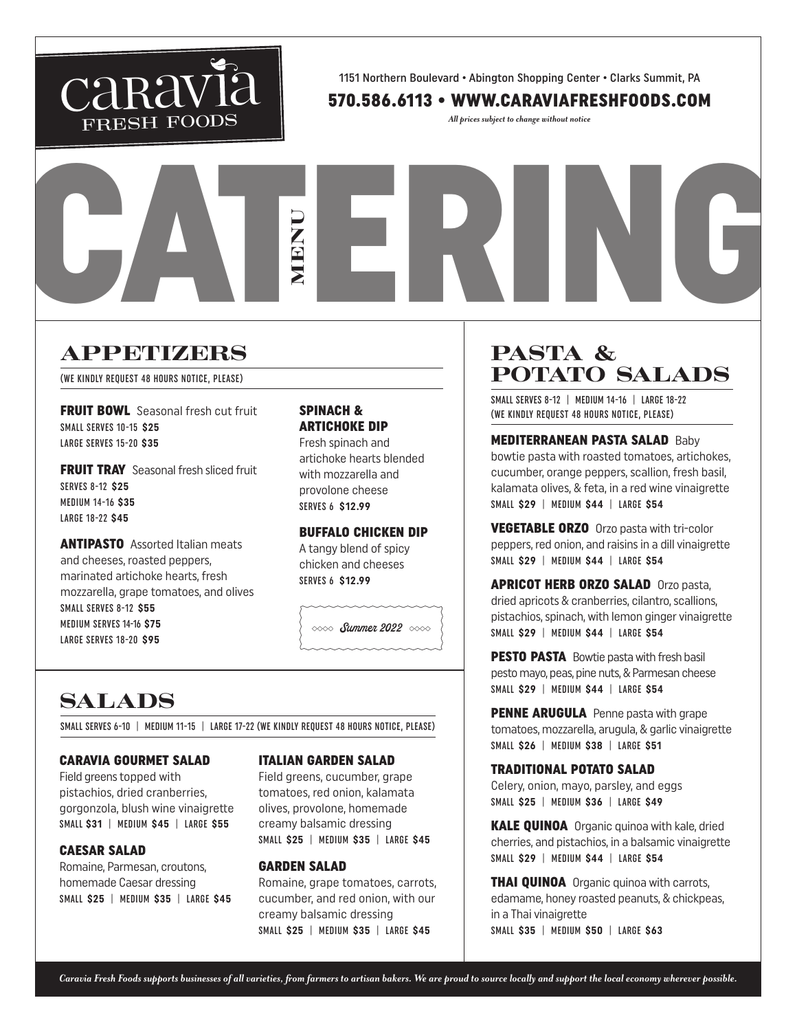

1151 Northern Boulevard • Abington Shopping Center • Clarks Summit, PA

## 570.586.6113 • WWW.CARAVIAFRESHFOODS.COM

*All prices subject to change without notice*

# **APPEHIZERS**

(WE KINDLY REQUEST 48 HOURS NOTICE, PLEASE)

**FRUIT BOWL** Seasonal fresh cut fruit SMALL SERVES 10-15 **\$25** LARGE SERVES 15-20 **\$35**

**FRUIT TRAY** Seasonal fresh sliced fruit SERVES 8-12 **\$25** MEDIUM 14-16 **\$35** LARGE 18-22 **\$45**

**ANTIPASTO** Assorted Italian meats and cheeses, roasted peppers, marinated artichoke hearts, fresh mozzarella, grape tomatoes, and olives SMALL SERVES 8-12 **\$55** MEDIUM SERVES 14-16 **\$75** LARGE SERVES 18-20 **\$95**

## SPINACH & ARTICHOKE DIP

MENU

Fresh spinach and artichoke hearts blended with mozzarella and provolone cheese SERVES 6 **\$12.99**

## BUFFALO CHICKEN DIP

A tangy blend of spicy chicken and cheeses SERVES 6 **\$12.99**

 $\infty$  Summer 2022  $\infty$ 

# **SALADS**

SMALL SERVES 6-10 | MEDIUM 11-15 | LARGE 17-22 (WE KINDLY REOUEST 48 HOURS NOTICE, PLEASE)

## CARAVIA GOURMET SALAD

Field greens topped with pistachios, dried cranberries, gorgonzola, blush wine vinaigrette SMALL **\$31** | MEDIUM **\$45** | LARGE **\$55**

## CAESAR SALAD

Romaine, Parmesan, croutons, homemade Caesar dressing SMALL **\$25** | MEDIUM **\$35** | LARGE **\$45**

#### ITALIAN GARDEN SALAD

Field greens, cucumber, grape tomatoes, red onion, kalamata olives, provolone, homemade creamy balsamic dressing SMALL **\$25** | MEDIUM **\$35** | LARGE **\$45**

## GARDEN SALAD

Romaine, grape tomatoes, carrots, cucumber, and red onion, with our creamy balsamic dressing SMALL **\$25** | MEDIUM **\$35** | LARGE **\$45**

## PASTA & POTATO SALADS

CATERING

SMALL SERVES 8-12 | MEDIUM 14-16 | LARGE 18-22 (WE KINDLY REQUEST 48 HOURS NOTICE, PLEASE)

MEDITERRANEAN PASTA SALAD Baby bowtie pasta with roasted tomatoes, artichokes, cucumber, orange peppers, scallion, fresh basil, kalamata olives, & feta, in a red wine vinaigrette SMALL **\$29** | MEDIUM **\$44** | LARGE **\$54**

VEGETABLE ORZO Orzo pasta with tri-color peppers, red onion, and raisins in a dill vinaigrette SMALL **\$29** | MEDIUM **\$44** | LARGE **\$54**

APRICOT HERB ORZO SALAD Orzo pasta, dried apricots & cranberries, cilantro, scallions, pistachios, spinach, with lemon ginger vinaigrette SMALL **\$29** | MEDIUM **\$44** | LARGE **\$54**

PESTO PASTA Bowtie pasta with fresh basil pesto mayo, peas, pine nuts, & Parmesan cheese SMALL **\$29** | MEDIUM **\$44** | LARGE **\$54**

PENNE ARUGULA Penne pasta with grape tomatoes, mozzarella, arugula, & garlic vinaigrette SMALL **\$26** | MEDIUM **\$38** | LARGE **\$51**

## TRADITIONAL POTATO SALAD

Celery, onion, mayo, parsley, and eggs SMALL **\$25** | MEDIUM **\$36** | LARGE **\$49**

**KALE QUINOA** Organic quinoa with kale, dried cherries, and pistachios, in a balsamic vinaigrette SMALL **\$29** | MEDIUM **\$44** | LARGE **\$54**

**THAI QUINOA** Organic quinoa with carrots, edamame, honey roasted peanuts, & chickpeas, in a Thai vinaigrette SMALL **\$35** | MEDIUM **\$50** | LARGE **\$63**